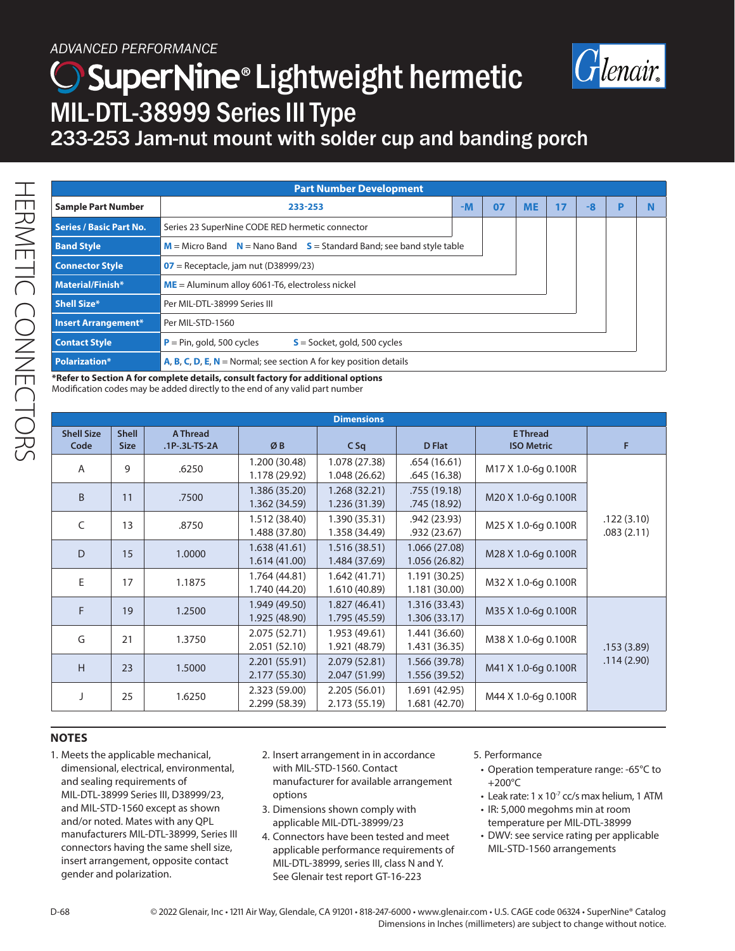## ) SuperNine® Lightweight hermetic MIL-DTL-38999 Series III Type



233-253 Jam-nut mount with solder cup and banding porch

| <b>Part Number Development</b>                                                                  |                                                               |  |  |  |    |      |   |  |
|-------------------------------------------------------------------------------------------------|---------------------------------------------------------------|--|--|--|----|------|---|--|
| <b>Sample Part Number</b>                                                                       | $-M$<br>07<br>233-253                                         |  |  |  | 17 | $-8$ | D |  |
| <b>Series / Basic Part No.</b>                                                                  | Series 23 SuperNine CODE RED hermetic connector               |  |  |  |    |      |   |  |
| $M =$ Micro Band $N =$ Nano Band $S =$ Standard Band; see band style table<br><b>Band Style</b> |                                                               |  |  |  |    |      |   |  |
| <b>Connector Style</b>                                                                          | $07$ = Receptacle, jam nut (D38999/23)                        |  |  |  |    |      |   |  |
| Material/Finish*                                                                                | $ME =$ Aluminum alloy 6061-T6, electroless nickel             |  |  |  |    |      |   |  |
| <b>Shell Size*</b>                                                                              | Per MIL-DTL-38999 Series III                                  |  |  |  |    |      |   |  |
| Insert Arrangement*                                                                             | Per MIL-STD-1560                                              |  |  |  |    |      |   |  |
| <b>Contact Style</b>                                                                            | $P = Pin, gold, 500 cycles$<br>$S =$ Socket, gold, 500 cycles |  |  |  |    |      |   |  |
| <b>Polarization*</b><br>A, B, C, D, E, $N =$ Normal; see section A for key position details     |                                                               |  |  |  |    |      |   |  |

**\*Refer to Section A for complete details, consult factory for additional options**  Modification codes may be added directly to the end of any valid part number

| <b>Dimensions</b>         |                             |                             |                                |                                |                                |                                      |                          |
|---------------------------|-----------------------------|-----------------------------|--------------------------------|--------------------------------|--------------------------------|--------------------------------------|--------------------------|
| <b>Shell Size</b><br>Code | <b>Shell</b><br><b>Size</b> | A Thread<br>$.1P-.3L-TS-2A$ | ØB                             | $C$ Sq                         | <b>D</b> Flat                  | <b>E</b> Thread<br><b>ISO Metric</b> | F                        |
| A                         | 9                           | .6250                       | 1.200 (30.48)<br>1.178 (29.92) | 1.078 (27.38)<br>1.048 (26.62) | .654(16.61)<br>.645 (16.38)    | M17 X 1.0-6g 0.100R                  |                          |
| B                         | 11                          | .7500                       | 1.386 (35.20)<br>1.362 (34.59) | 1.268 (32.21)<br>1.236 (31.39) | .755 (19.18)<br>.745 (18.92)   | M20 X 1.0-6g 0.100R                  |                          |
| C                         | 13                          | .8750                       | 1.512 (38.40)<br>1.488 (37.80) | 1.390 (35.31)<br>1.358 (34.49) | .942(23.93)<br>.932 (23.67)    | M25 X 1.0-6g 0.100R                  | .122(3.10)<br>.083(2.11) |
| D                         | 15                          | 1.0000                      | 1.638(41.61)<br>1.614(41.00)   | 1.516(38.51)<br>1.484 (37.69)  | 1.066 (27.08)<br>1.056(26.82)  | M28 X 1.0-6g 0.100R                  |                          |
| E                         | 17                          | 1.1875                      | 1.764 (44.81)<br>1.740 (44.20) | 1.642(41.71)<br>1.610 (40.89)  | 1.191(30.25)<br>1.181 (30.00)  | M32 X 1.0-6g 0.100R                  |                          |
| F                         | 19                          | 1.2500                      | 1.949 (49.50)<br>1.925 (48.90) | 1.827(46.41)<br>1.795 (45.59)  | 1.316 (33.43)<br>1.306(33.17)  | M35 X 1.0-6g 0.100R                  |                          |
| G                         | 21                          | 1.3750                      | 2.075 (52.71)<br>2.051 (52.10) | 1.953 (49.61)<br>1.921 (48.79) | 1.441 (36.60)<br>1.431 (36.35) | M38 X 1.0-6g 0.100R                  | .153(3.89)               |
| H                         | 23                          | 1.5000                      | 2.201(55.91)<br>2.177 (55.30)  | 2.079 (52.81)<br>2.047 (51.99) | 1.566 (39.78)<br>1.556 (39.52) | M41 X 1.0-6q 0.100R                  | .114(2.90)               |
|                           | 25                          | 1.6250                      | 2.323 (59.00)<br>2.299 (58.39) | 2.205 (56.01)<br>2.173 (55.19) | 1.691 (42.95)<br>1.681 (42.70) | M44 X 1.0-6g 0.100R                  |                          |

- 1. Meets the applicable mechanical, dimensional, electrical, environmental, and sealing requirements of MIL-DTL-38999 Series III, D38999/23, and MIL-STD-1560 except as shown and/or noted. Mates with any QPL manufacturers MIL-DTL-38999, Series III connectors having the same shell size, insert arrangement, opposite contact gender and polarization.
- 2. Insert arrangement in in accordance with MIL-STD-1560. Contact manufacturer for available arrangement options
- 3. Dimensions shown comply with applicable MIL-DTL-38999/23
- 4. Connectors have been tested and meet applicable performance requirements of MIL-DTL-38999, series III, class N and Y. See Glenair test report GT-16-223

## 5. Performance

- Operation temperature range: -65°C to +200°C
- Leak rate:  $1 \times 10^{-7}$  cc/s max helium, 1 ATM
- IR: 5,000 megohms min at room temperature per MIL-DTL-38999
- DWV: see service rating per applicable MIL-STD-1560 arrangements